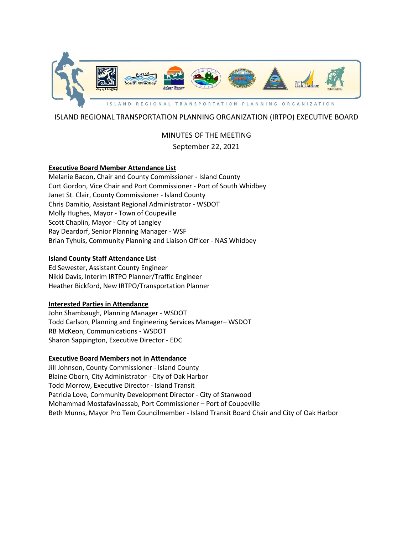

# ISLAND REGIONAL TRANSPORTATION PLANNING ORGANIZATION (IRTPO) EXECUTIVE BOARD

# MINUTES OF THE MEETING September 22, 2021

## **Executive Board Member Attendance List**

Melanie Bacon, Chair and County Commissioner - Island County Curt Gordon, Vice Chair and Port Commissioner - Port of South Whidbey Janet St. Clair, County Commissioner - Island County Chris Damitio, Assistant Regional Administrator - WSDOT Molly Hughes, Mayor - Town of Coupeville Scott Chaplin, Mayor - City of Langley Ray Deardorf, Senior Planning Manager - WSF Brian Tyhuis, Community Planning and Liaison Officer - NAS Whidbey

# **Island County Staff Attendance List**

Ed Sewester, Assistant County Engineer Nikki Davis, Interim IRTPO Planner/Traffic Engineer Heather Bickford, New IRTPO/Transportation Planner

## **Interested Parties in Attendance**

John Shambaugh, Planning Manager - WSDOT Todd Carlson, Planning and Engineering Services Manager– WSDOT RB McKeon, Communications - WSDOT Sharon Sappington, Executive Director - EDC

# **Executive Board Members not in Attendance**

Jill Johnson, County Commissioner - Island County Blaine Oborn, City Administrator - City of Oak Harbor Todd Morrow, Executive Director - Island Transit Patricia Love, Community Development Director - City of Stanwood Mohammad Mostafavinassab, Port Commissioner – Port of Coupeville Beth Munns, Mayor Pro Tem Councilmember - Island Transit Board Chair and City of Oak Harbor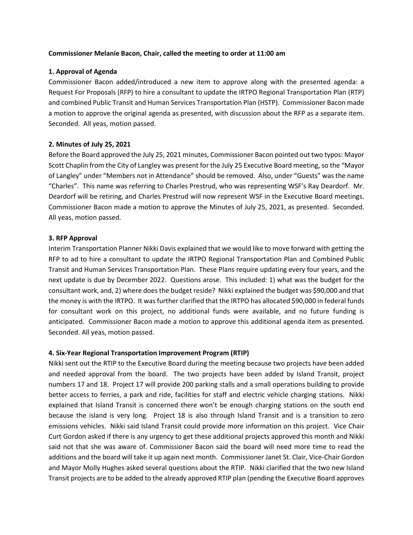#### **Commissioner Melanie Bacon, Chair, called the meeting to order at 11:00 am**

#### **1. Approval of Agenda**

Commissioner Bacon added/introduced a new item to approve along with the presented agenda: a Request For Proposals (RFP) to hire a consultant to update the IRTPO Regional Transportation Plan (RTP) and combined Public Transit and Human Services Transportation Plan (HSTP). Commissioner Bacon made a motion to approve the original agenda as presented, with discussion about the RFP as a separate item. Seconded. All yeas, motion passed.

#### **2. Minutes of July 25, 2021**

Before the Board approved the July 25, 2021 minutes, Commissioner Bacon pointed out two typos: Mayor Scott Chaplin from the City of Langley was present for the July 25 Executive Board meeting, so the "Mayor of Langley" under "Members not in Attendance" should be removed. Also, under "Guests" was the name "Charles". This name was referring to Charles Prestrud, who was representing WSF's Ray Deardorf. Mr. Deardorf will be retiring, and Charles Prestrud will now represent WSF in the Executive Board meetings. Commissioner Bacon made a motion to approve the Minutes of July 25, 2021, as presented. Seconded. All yeas, motion passed.

#### **3. RFP Approval**

Interim Transportation Planner Nikki Davis explained that we would like to move forward with getting the RFP to ad to hire a consultant to update the IRTPO Regional Transportation Plan and Combined Public Transit and Human Services Transportation Plan. These Plans require updating every four years, and the next update is due by December 2022. Questions arose. This included: 1) what was the budget for the consultant work, and, 2) where does the budget reside? Nikki explained the budget was \$90,000 and that the money is with the IRTPO. It was further clarified that the IRTPO has allocated \$90,000 in federal funds for consultant work on this project, no additional funds were available, and no future funding is anticipated. Commissioner Bacon made a motion to approve this additional agenda item as presented. Seconded. All yeas, motion passed.

## **4. Six-Year Regional Transportation Improvement Program (RTIP)**

Nikki sent out the RTIP to the Executive Board during the meeting because two projects have been added and needed approval from the board. The two projects have been added by Island Transit, project numbers 17 and 18. Project 17 will provide 200 parking stalls and a small operations building to provide better access to ferries, a park and ride, facilities for staff and electric vehicle charging stations. Nikki explained that Island Transit is concerned there won't be enough charging stations on the south end because the island is very long. Project 18 is also through Island Transit and is a transition to zero emissions vehicles. Nikki said Island Transit could provide more information on this project. Vice Chair Curt Gordon asked if there is any urgency to get these additional projects approved this month and Nikki said not that she was aware of. Commissioner Bacon said the board will need more time to read the additions and the board will take it up again next month. Commissioner Janet St. Clair, Vice-Chair Gordon and Mayor Molly Hughes asked several questions about the RTIP. Nikki clarified that the two new Island Transit projects are to be added to the already approved RTIP plan (pending the Executive Board approves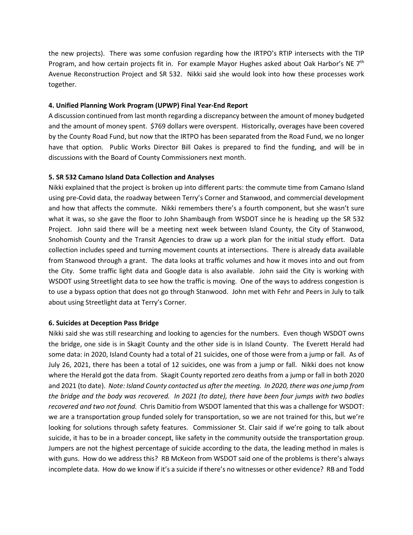the new projects). There was some confusion regarding how the IRTPO's RTIP intersects with the TIP Program, and how certain projects fit in. For example Mayor Hughes asked about Oak Harbor's NE 7<sup>th</sup> Avenue Reconstruction Project and SR 532. Nikki said she would look into how these processes work together.

# **4. Unified Planning Work Program (UPWP) Final Year-End Report**

A discussion continued from last month regarding a discrepancy between the amount of money budgeted and the amount of money spent. \$769 dollars were overspent. Historically, overages have been covered by the County Road Fund, but now that the IRTPO has been separated from the Road Fund, we no longer have that option. Public Works Director Bill Oakes is prepared to find the funding, and will be in discussions with the Board of County Commissioners next month.

# **5. SR 532 Camano Island Data Collection and Analyses**

Nikki explained that the project is broken up into different parts: the commute time from Camano Island using pre-Covid data, the roadway between Terry's Corner and Stanwood, and commercial development and how that affects the commute. Nikki remembers there's a fourth component, but she wasn't sure what it was, so she gave the floor to John Shambaugh from WSDOT since he is heading up the SR 532 Project. John said there will be a meeting next week between Island County, the City of Stanwood, Snohomish County and the Transit Agencies to draw up a work plan for the initial study effort. Data collection includes speed and turning movement counts at intersections. There is already data available from Stanwood through a grant. The data looks at traffic volumes and how it moves into and out from the City. Some traffic light data and Google data is also available. John said the City is working with WSDOT using Streetlight data to see how the traffic is moving. One of the ways to address congestion is to use a bypass option that does not go through Stanwood. John met with Fehr and Peers in July to talk about using Streetlight data at Terry's Corner.

## **6. Suicides at Deception Pass Bridge**

Nikki said she was still researching and looking to agencies for the numbers. Even though WSDOT owns the bridge, one side is in Skagit County and the other side is in Island County. The Everett Herald had some data: in 2020, Island County had a total of 21 suicides, one of those were from a jump or fall. As of July 26, 2021, there has been a total of 12 suicides, one was from a jump or fall. Nikki does not know where the Herald got the data from. Skagit County reported zero deaths from a jump or fall in both 2020 and 2021 (to date). *Note: Island County contacted us after the meeting. In 2020, there was one jump from the bridge and the body was recovered. In 2021 (to date), there have been four jumps with two bodies recovered and two not found.* Chris Damitio from WSDOT lamented that this was a challenge for WSDOT: we are a transportation group funded solely for transportation, so we are not trained for this, but we're looking for solutions through safety features. Commissioner St. Clair said if we're going to talk about suicide, it has to be in a broader concept, like safety in the community outside the transportation group. Jumpers are not the highest percentage of suicide according to the data, the leading method in males is with guns. How do we address this? RB McKeon from WSDOT said one of the problems is there's always incomplete data. How do we know if it's a suicide if there's no witnesses or other evidence? RB and Todd